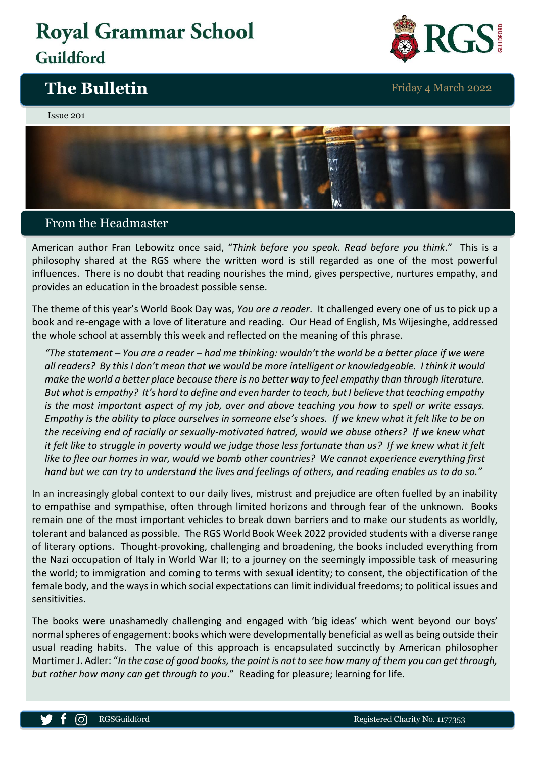# **Royal Grammar School** Guildford

# **The Bulletin** Friday 4 March 2022







## From the Headmaster

American author Fran Lebowitz once said, "*Think before you speak. Read before you think*." This is a philosophy shared at the RGS where the written word is still regarded as one of the most powerful influences. There is no doubt that reading nourishes the mind, gives perspective, nurtures empathy, and provides an education in the broadest possible sense.

The theme of this year's World Book Day was, *You are a reader*. It challenged every one of us to pick up a book and re-engage with a love of literature and reading. Our Head of English, Ms Wijesinghe, addressed the whole school at assembly this week and reflected on the meaning of this phrase.

*"The statement – You are a reader – had me thinking: wouldn't the world be a better place if we were all readers? By this I don't mean that we would be more intelligent or knowledgeable. I think it would make the world a better place because there is no better way to feel empathy than through literature. But what is empathy? It's hard to define and even harder to teach, but I believe that teaching empathy is the most important aspect of my job, over and above teaching you how to spell or write essays. Empathy is the ability to place ourselves in someone else's shoes. If we knew what it felt like to be on the receiving end of racially or sexually-motivated hatred, would we abuse others? If we knew what it felt like to struggle in poverty would we judge those less fortunate than us? If we knew what it felt like to flee our homes in war, would we bomb other countries? We cannot experience everything first hand but we can try to understand the lives and feelings of others, and reading enables us to do so."*

In an increasingly global context to our daily lives, mistrust and prejudice are often fuelled by an inability to empathise and sympathise, often through limited horizons and through fear of the unknown. Books remain one of the most important vehicles to break down barriers and to make our students as worldly, tolerant and balanced as possible. The RGS World Book Week 2022 provided students with a diverse range of literary options. Thought-provoking, challenging and broadening, the books included everything from the Nazi occupation of Italy in World War II; to a journey on the seemingly impossible task of measuring the world; to immigration and coming to terms with sexual identity; to consent, the objectification of the female body, and the ways in which social expectations can limit individual freedoms; to political issues and sensitivities.

The books were unashamedly challenging and engaged with 'big ideas' which went beyond our boys' normal spheres of engagement: books which were developmentally beneficial as well as being outside their usual reading habits. The value of this approach is encapsulated succinctly by American philosopher Mortimer J. Adler: "*In the case of good books, the point is not to see how many of them you can get through, but rather how many can get through to you*." Reading for pleasure; learning for life.